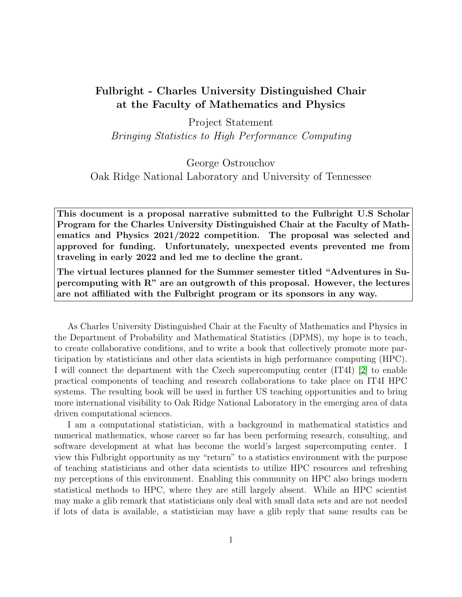## Fulbright - Charles University Distinguished Chair at the Faculty of Mathematics and Physics

Project Statement

Bringing Statistics to High Performance Computing

## George Ostrouchov

Oak Ridge National Laboratory and University of Tennessee

This document is a proposal narrative submitted to the Fulbright U.S Scholar Program for the Charles University Distinguished Chair at the Faculty of Mathematics and Physics 2021/2022 competition. The proposal was selected and approved for funding. Unfortunately, unexpected events prevented me from traveling in early 2022 and led me to decline the grant.

The virtual lectures planned for the Summer semester titled "Adventures in Supercomputing with R" are an outgrowth of this proposal. However, the lectures are not affiliated with the Fulbright program or its sponsors in any way.

As Charles University Distinguished Chair at the Faculty of Mathematics and Physics in the Department of Probability and Mathematical Statistics (DPMS), my hope is to teach, to create collaborative conditions, and to write a book that collectively promote more participation by statisticians and other data scientists in high performance computing (HPC). I will connect the department with the Czech supercomputing center (IT4I) [\[2\]](#page-4-0) to enable practical components of teaching and research collaborations to take place on IT4I HPC systems. The resulting book will be used in further US teaching opportunities and to bring more international visibility to Oak Ridge National Laboratory in the emerging area of data driven computational sciences.

I am a computational statistician, with a background in mathematical statistics and numerical mathematics, whose career so far has been performing research, consulting, and software development at what has become the world's largest supercomputing center. I view this Fulbright opportunity as my "return" to a statistics environment with the purpose of teaching statisticians and other data scientists to utilize HPC resources and refreshing my perceptions of this environment. Enabling this community on HPC also brings modern statistical methods to HPC, where they are still largely absent. While an HPC scientist may make a glib remark that statisticians only deal with small data sets and are not needed if lots of data is available, a statistician may have a glib reply that same results can be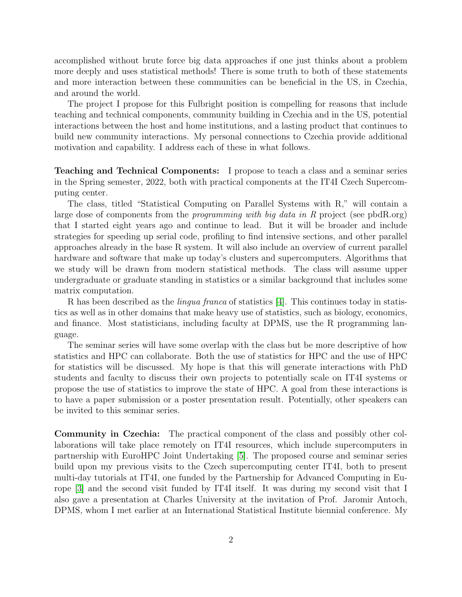accomplished without brute force big data approaches if one just thinks about a problem more deeply and uses statistical methods! There is some truth to both of these statements and more interaction between these communities can be beneficial in the US, in Czechia, and around the world.

The project I propose for this Fulbright position is compelling for reasons that include teaching and technical components, community building in Czechia and in the US, potential interactions between the host and home institutions, and a lasting product that continues to build new community interactions. My personal connections to Czechia provide additional motivation and capability. I address each of these in what follows.

Teaching and Technical Components: I propose to teach a class and a seminar series in the Spring semester, 2022, both with practical components at the IT4I Czech Supercomputing center.

The class, titled "Statistical Computing on Parallel Systems with R," will contain a large dose of components from the *programming with big data in R* project (see pbdR.org) that I started eight years ago and continue to lead. But it will be broader and include strategies for speeding up serial code, profiling to find intensive sections, and other parallel approaches already in the base R system. It will also include an overview of current parallel hardware and software that make up today's clusters and supercomputers. Algorithms that we study will be drawn from modern statistical methods. The class will assume upper undergraduate or graduate standing in statistics or a similar background that includes some matrix computation.

R has been described as the *lingua franca* of statistics  $|4|$ . This continues today in statistics as well as in other domains that make heavy use of statistics, such as biology, economics, and finance. Most statisticians, including faculty at DPMS, use the R programming language.

The seminar series will have some overlap with the class but be more descriptive of how statistics and HPC can collaborate. Both the use of statistics for HPC and the use of HPC for statistics will be discussed. My hope is that this will generate interactions with PhD students and faculty to discuss their own projects to potentially scale on IT4I systems or propose the use of statistics to improve the state of HPC. A goal from these interactions is to have a paper submission or a poster presentation result. Potentially, other speakers can be invited to this seminar series.

Community in Czechia: The practical component of the class and possibly other collaborations will take place remotely on IT4I resources, which include supercomputers in partnership with EuroHPC Joint Undertaking [\[5\]](#page-4-2). The proposed course and seminar series build upon my previous visits to the Czech supercomputing center IT4I, both to present multi-day tutorials at IT4I, one funded by the Partnership for Advanced Computing in Europe [\[3\]](#page-4-3) and the second visit funded by IT4I itself. It was during my second visit that I also gave a presentation at Charles University at the invitation of Prof. Jaromir Antoch, DPMS, whom I met earlier at an International Statistical Institute biennial conference. My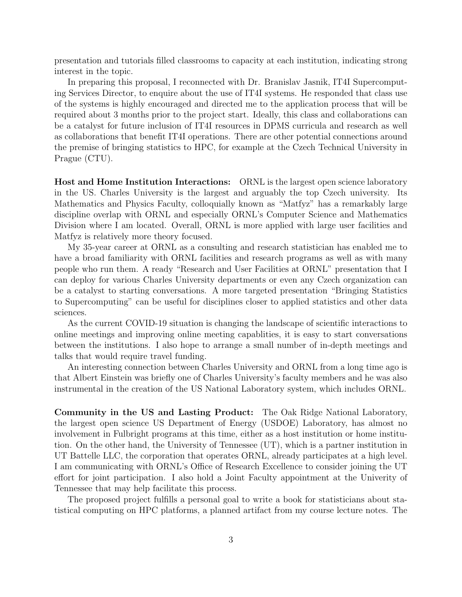presentation and tutorials filled classrooms to capacity at each institution, indicating strong interest in the topic.

In preparing this proposal, I reconnected with Dr. Branislav Jasnik, IT4I Supercomputing Services Director, to enquire about the use of IT4I systems. He responded that class use of the systems is highly encouraged and directed me to the application process that will be required about 3 months prior to the project start. Ideally, this class and collaborations can be a catalyst for future inclusion of IT4I resources in DPMS curricula and research as well as collaborations that benefit IT4I operations. There are other potential connections around the premise of bringing statistics to HPC, for example at the Czech Technical University in Prague (CTU).

Host and Home Institution Interactions: ORNL is the largest open science laboratory in the US. Charles University is the largest and arguably the top Czech university. Its Mathematics and Physics Faculty, colloquially known as "Matfyz" has a remarkably large discipline overlap with ORNL and especially ORNL's Computer Science and Mathematics Division where I am located. Overall, ORNL is more applied with large user facilities and Matfyz is relatively more theory focused.

My 35-year career at ORNL as a consulting and research statistician has enabled me to have a broad familiarity with ORNL facilities and research programs as well as with many people who run them. A ready "Research and User Facilities at ORNL" presentation that I can deploy for various Charles University departments or even any Czech organization can be a catalyst to starting conversations. A more targeted presentation "Bringing Statistics to Supercomputing" can be useful for disciplines closer to applied statistics and other data sciences.

As the current COVID-19 situation is changing the landscape of scientific interactions to online meetings and improving online meeting capablities, it is easy to start conversations between the institutions. I also hope to arrange a small number of in-depth meetings and talks that would require travel funding.

An interesting connection between Charles University and ORNL from a long time ago is that Albert Einstein was briefly one of Charles University's faculty members and he was also instrumental in the creation of the US National Laboratory system, which includes ORNL.

Community in the US and Lasting Product: The Oak Ridge National Laboratory, the largest open science US Department of Energy (USDOE) Laboratory, has almost no involvement in Fulbright programs at this time, either as a host institution or home institution. On the other hand, the University of Tennessee (UT), which is a partner institution in UT Battelle LLC, the corporation that operates ORNL, already participates at a high level. I am communicating with ORNL's Office of Research Excellence to consider joining the UT effort for joint participation. I also hold a Joint Faculty appointment at the Univerity of Tennessee that may help facilitate this process.

The proposed project fulfills a personal goal to write a book for statisticians about statistical computing on HPC platforms, a planned artifact from my course lecture notes. The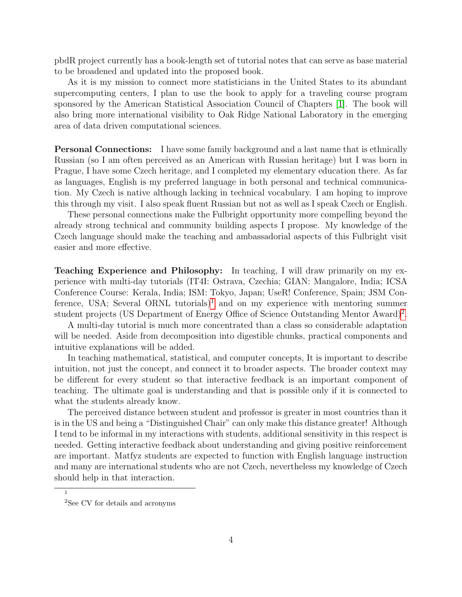pbdR project currently has a book-length set of tutorial notes that can serve as base material to be broadened and updated into the proposed book.

As it is my mission to connect more statisticians in the United States to its abundant supercomputing centers, I plan to use the book to apply for a traveling course program sponsored by the American Statistical Association Council of Chapters [\[1\]](#page-4-4). The book will also bring more international visibility to Oak Ridge National Laboratory in the emerging area of data driven computational sciences.

Personal Connections: I have some family background and a last name that is ethnically Russian (so I am often perceived as an American with Russian heritage) but I was born in Prague, I have some Czech heritage, and I completed my elementary education there. As far as languages, English is my preferred language in both personal and technical communication. My Czech is native although lacking in technical vocabulary. I am hoping to improve this through my visit. I also speak fluent Russian but not as well as I speak Czech or English.

These personal connections make the Fulbright opportunity more compelling beyond the already strong technical and community building aspects I propose. My knowledge of the Czech language should make the teaching and ambassadorial aspects of this Fulbright visit easier and more effective.

Teaching Experience and Philosophy: In teaching, I will draw primarily on my experience with multi-day tutorials (IT4I: Ostrava, Czechia; GIAN: Mangalore, India; ICSA Conference Course: Kerala, India; ISM: Tokyo, Japan; UseR! Conference, Spain; JSM Con-ference, USA; Several ORNL tutorials)<sup>[1](#page-3-0)</sup> and on my experience with mentoring summer student projects (US Department of Energy Office of Science Outstanding Mentor Award)<sup>[2](#page-3-1)</sup>.

A multi-day tutorial is much more concentrated than a class so considerable adaptation will be needed. Aside from decomposition into digestible chunks, practical components and intuitive explanations will be added.

In teaching mathematical, statistical, and computer concepts, It is important to describe intuition, not just the concept, and connect it to broader aspects. The broader context may be different for every student so that interactive feedback is an important component of teaching. The ultimate goal is understanding and that is possible only if it is connected to what the students already know.

The perceived distance between student and professor is greater in most countries than it is in the US and being a "Distinguished Chair" can only make this distance greater! Although I tend to be informal in my interactions with students, additional sensitivity in this respect is needed. Getting interactive feedback about understanding and giving positive reinforcement are important. Matfyz students are expected to function with English language instruction and many are international students who are not Czech, nevertheless my knowledge of Czech should help in that interaction.

<span id="page-3-0"></span><sup>1</sup>

<span id="page-3-1"></span><sup>2</sup>See CV for details and acronyms